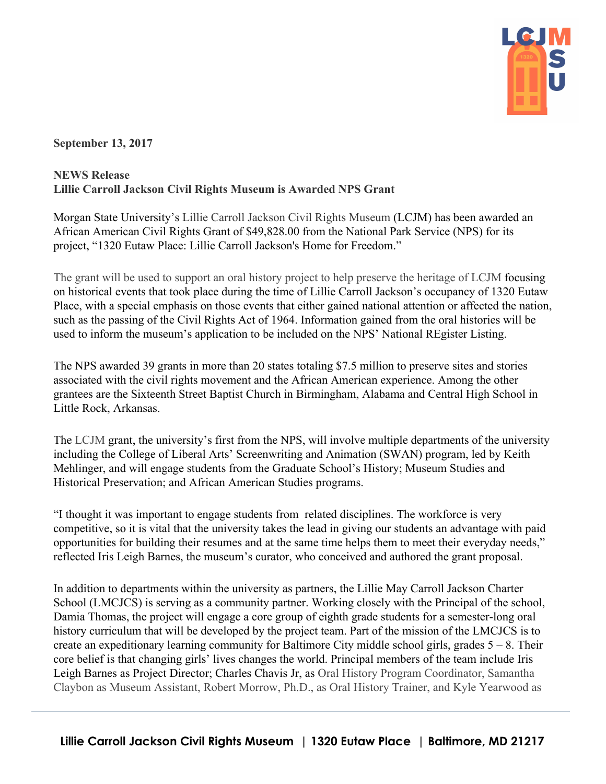

**September 13, 2017**

## **NEWS Release Lillie Carroll Jackson Civil Rights Museum is Awarded NPS Grant**

Morgan State University's Lillie Carroll Jackson Civil Rights Museum (LCJM) has been awarded an African American Civil Rights Grant of \$49,828.00 from the National Park Service (NPS) for its project, "1320 Eutaw Place: Lillie Carroll Jackson's Home for Freedom."

The grant will be used to support an oral history project to help preserve the heritage of LCJM focusing on historical events that took place during the time of Lillie Carroll Jackson's occupancy of 1320 Eutaw Place, with a special emphasis on those events that either gained national attention or affected the nation, such as the passing of the Civil Rights Act of 1964. Information gained from the oral histories will be used to inform the museum's application to be included on the NPS' National REgister Listing.

The NPS awarded 39 grants in more than 20 states totaling \$7.5 million to preserve sites and stories associated with the civil rights movement and the African American experience. Among the other grantees are the Sixteenth Street Baptist Church in Birmingham, Alabama and Central High School in Little Rock, Arkansas.

The LCJM grant, the university's first from the NPS, will involve multiple departments of the university including the College of Liberal Arts' Screenwriting and Animation (SWAN) program, led by Keith Mehlinger, and will engage students from the Graduate School's History; Museum Studies and Historical Preservation; and African American Studies programs.

"I thought it was important to engage students from related disciplines. The workforce is very competitive, so it is vital that the university takes the lead in giving our students an advantage with paid opportunities for building their resumes and at the same time helps them to meet their everyday needs," reflected Iris Leigh Barnes, the museum's curator, who conceived and authored the grant proposal.

In addition to departments within the university as partners, the Lillie May Carroll Jackson Charter School (LMCJCS) is serving as a community partner. Working closely with the Principal of the school, Damia Thomas, the project will engage a core group of eighth grade students for a semester-long oral history curriculum that will be developed by the project team. Part of the mission of the LMCJCS is to create an expeditionary learning community for Baltimore City middle school girls, grades  $5 - 8$ . Their core belief is that changing girls' lives changes the world. Principal members of the team include Iris Leigh Barnes as Project Director; Charles Chavis Jr, as Oral History Program Coordinator, Samantha Claybon as Museum Assistant, Robert Morrow, Ph.D., as Oral History Trainer, and Kyle Yearwood as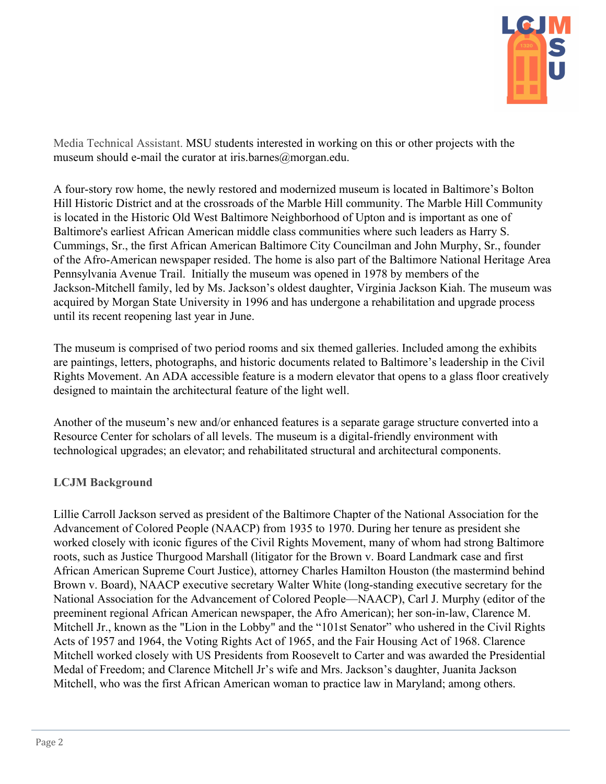

Media Technical Assistant. MSU students interested in working on this or other projects with the museum should e-mail the curator at iris.barnes@morgan.edu.

A four-story row home, the newly restored and modernized museum is located in Baltimore's Bolton Hill Historic District and at the crossroads of the Marble Hill community. The Marble Hill Community is located in the Historic Old West Baltimore Neighborhood of Upton and is important as one of Baltimore's earliest African American middle class communities where such leaders as Harry S. Cummings, Sr., the first African American Baltimore City Councilman and John Murphy, Sr., founder of the Afro-American newspaper resided. The home is also part of the Baltimore National Heritage Area Pennsylvania Avenue Trail. Initially the museum was opened in 1978 by members of the Jackson-Mitchell family, led by Ms. Jackson's oldest daughter, Virginia Jackson Kiah. The museum was acquired by Morgan State University in 1996 and has undergone a rehabilitation and upgrade process until its recent reopening last year in June.

The museum is comprised of two period rooms and six themed galleries. Included among the exhibits are paintings, letters, photographs, and historic documents related to Baltimore's leadership in the Civil Rights Movement. An ADA accessible feature is a modern elevator that opens to a glass floor creatively designed to maintain the architectural feature of the light well.

Another of the museum's new and/or enhanced features is a separate garage structure converted into a Resource Center for scholars of all levels. The museum is a digital-friendly environment with technological upgrades; an elevator; and rehabilitated structural and architectural components.

## **LCJM Background**

Lillie Carroll Jackson served as president of the Baltimore Chapter of the National Association for the Advancement of Colored People (NAACP) from 1935 to 1970. During her tenure as president she worked closely with iconic figures of the Civil Rights Movement, many of whom had strong Baltimore roots, such as Justice Thurgood Marshall (litigator for the Brown v. Board Landmark case and first African American Supreme Court Justice), attorney Charles Hamilton Houston (the mastermind behind Brown v. Board), NAACP executive secretary Walter White (long-standing executive secretary for the National Association for the Advancement of Colored People—NAACP), Carl J. Murphy (editor of the preeminent regional African American newspaper, the Afro American); her son-in-law, Clarence M. Mitchell Jr., known as the "Lion in the Lobby" and the "101st Senator" who ushered in the Civil Rights Acts of 1957 and 1964, the Voting Rights Act of 1965, and the Fair Housing Act of 1968. Clarence Mitchell worked closely with US Presidents from Roosevelt to Carter and was awarded the Presidential Medal of Freedom; and Clarence Mitchell Jr's wife and Mrs. Jackson's daughter, Juanita Jackson Mitchell, who was the first African American woman to practice law in Maryland; among others.